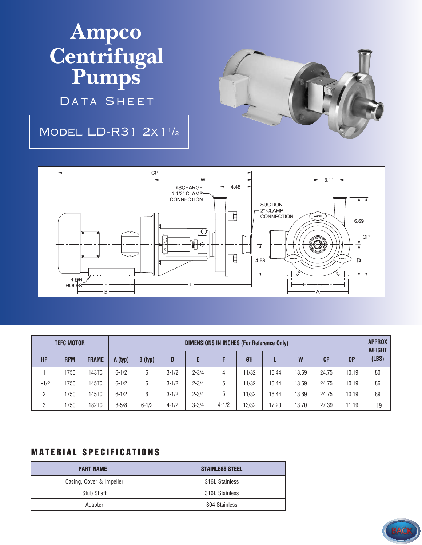## **Ampco Centrifugal Pumps**

DATA SHEET

## Model LD-R31 2x1<sup>1</sup> /2





| <b>TEFC MOTOR</b> |            |              | <b>DIMENSIONS IN INCHES (For Reference Only)</b> |           |           |           |           |           |       |       |       |                | <b>APPROX</b><br><b>WEIGHT</b> |
|-------------------|------------|--------------|--------------------------------------------------|-----------|-----------|-----------|-----------|-----------|-------|-------|-------|----------------|--------------------------------|
| HP                | <b>RPM</b> | <b>FRAME</b> | A (typ)                                          | B (typ)   | D         |           |           | <b>ØH</b> |       | W     | CP    | 0 <sup>P</sup> | (LBS)                          |
|                   | 1750       | 143TC        | $6 - 1/2$                                        | 6         | $3 - 1/2$ | $2 - 3/4$ | 4         | 11/32     | 16.44 | 13.69 | 24.75 | 10.19          | 80                             |
| $1 - 1/2$         | 1750       | 145TC        | $6 - 1/2$                                        | 6         | $3 - 1/2$ | $2 - 3/4$ | 5         | 11/32     | 16.44 | 13.69 | 24.75 | 10.19          | 86                             |
| 2                 | 1750       | 145TC        | $6 - 1/2$                                        | 6         | $3 - 1/2$ | $2 - 3/4$ | 5         | 11/32     | 16.44 | 13.69 | 24.75 | 10.19          | 89                             |
| 3                 | 1750       | 182TC        | $8 - 5/8$                                        | $6 - 1/2$ | $4 - 1/2$ | $3 - 3/4$ | $4 - 1/2$ | 13/32     | 17.20 | 13.70 | 27.39 | 11.19          | 119                            |

## **MATERIAL SPECIFICATIONS**

| <b>PART NAME</b>         | <b>STAINLESS STEEL</b> |
|--------------------------|------------------------|
| Casing, Cover & Impeller | 316L Stainless         |
| Stub Shaft               | 316L Stainless         |
| Adapter                  | 304 Stainless          |